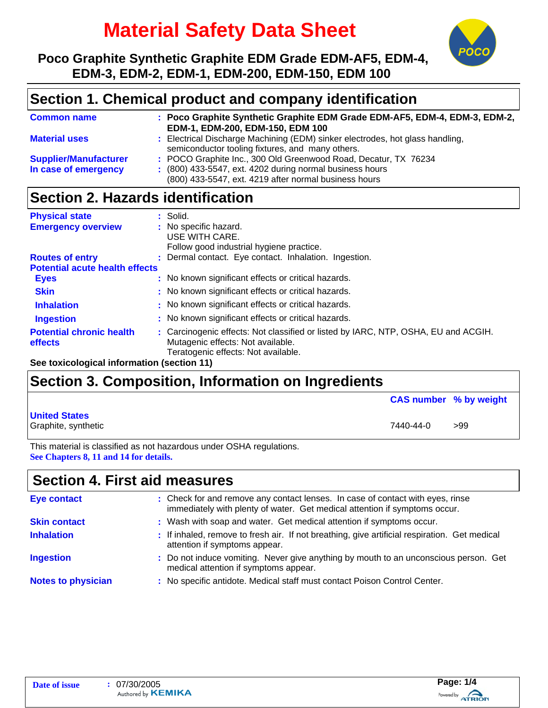# **Material Safety Data Sheet**



**Poco Graphite Synthetic Graphite EDM Grade EDM-AF5, EDM-4, EDM-3, EDM-2, EDM-1, EDM-200, EDM-150, EDM 100**

## **Section 1. Chemical product and company identification**

| <b>Common name</b>           | : Poco Graphite Synthetic Graphite EDM Grade EDM-AF5, EDM-4, EDM-3, EDM-2,<br>EDM-1, EDM-200, EDM-150, EDM 100                    |
|------------------------------|-----------------------------------------------------------------------------------------------------------------------------------|
| <b>Material uses</b>         | : Electrical Discharge Machining (EDM) sinker electrodes, hot glass handling,<br>semiconductor tooling fixtures, and many others. |
| <b>Supplier/Manufacturer</b> | : POCO Graphite Inc., 300 Old Greenwood Road, Decatur, TX 76234                                                                   |
| In case of emergency         | $(800)$ 433-5547, ext. 4202 during normal business hours<br>(800) 433-5547, ext. 4219 after normal business hours                 |

# **Section 2. Hazards identification**

| <b>Physical state</b>                      | $:$ Solid.                                                                                                                                                     |  |
|--------------------------------------------|----------------------------------------------------------------------------------------------------------------------------------------------------------------|--|
| <b>Emergency overview</b>                  | : No specific hazard.                                                                                                                                          |  |
|                                            | USE WITH CARE.<br>Follow good industrial hygiene practice.                                                                                                     |  |
| <b>Routes of entry</b>                     | : Dermal contact. Eye contact. Inhalation. Ingestion.                                                                                                          |  |
| <b>Potential acute health effects</b>      |                                                                                                                                                                |  |
| <b>Eyes</b>                                | : No known significant effects or critical hazards.                                                                                                            |  |
| <b>Skin</b>                                | : No known significant effects or critical hazards.                                                                                                            |  |
| <b>Inhalation</b>                          | : No known significant effects or critical hazards.                                                                                                            |  |
| <b>Ingestion</b>                           | : No known significant effects or critical hazards.                                                                                                            |  |
| <b>Potential chronic health</b><br>effects | : Carcinogenic effects: Not classified or listed by IARC, NTP, OSHA, EU and ACGIH.<br>Mutagenic effects: Not available.<br>Teratogenic effects: Not available. |  |

**See toxicological information (section 11)**

# **Section 3. Composition, Information on Ingredients**

**United States** Graphite, synthetic  $>99$ **CAS number % by weight**

This material is classified as not hazardous under OSHA regulations. **See Chapters 8, 11 and 14 for details.**

#### **Section 4. First aid measures**

| Eye contact               | : Check for and remove any contact lenses. In case of contact with eyes, rinse<br>immediately with plenty of water. Get medical attention if symptoms occur. |
|---------------------------|--------------------------------------------------------------------------------------------------------------------------------------------------------------|
| <b>Skin contact</b>       | : Wash with soap and water. Get medical attention if symptoms occur.                                                                                         |
| <b>Inhalation</b>         | : If inhaled, remove to fresh air. If not breathing, give artificial respiration. Get medical<br>attention if symptoms appear.                               |
| <b>Ingestion</b>          | : Do not induce vomiting. Never give anything by mouth to an unconscious person. Get<br>medical attention if symptoms appear.                                |
| <b>Notes to physician</b> | : No specific antidote. Medical staff must contact Poison Control Center.                                                                                    |

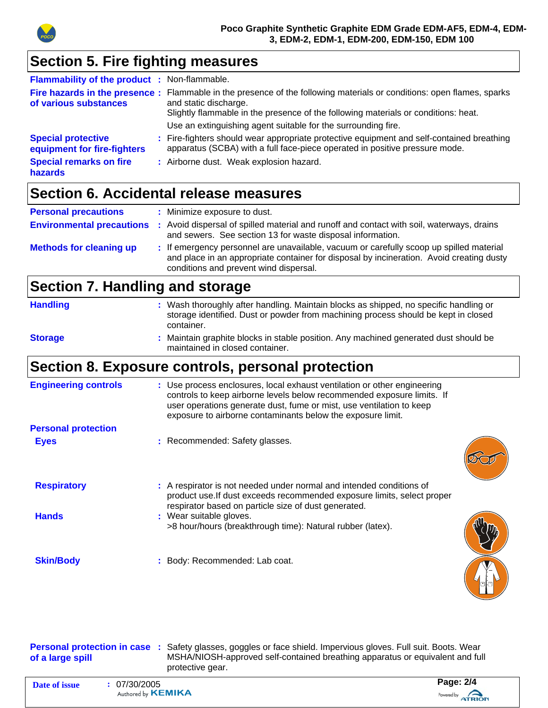

# **Section 5. Fire fighting measures**

| <b>Flammability of the product : Non-flammable.</b>                                                   |                                                                                                                                                                                                                                                                                                       |
|-------------------------------------------------------------------------------------------------------|-------------------------------------------------------------------------------------------------------------------------------------------------------------------------------------------------------------------------------------------------------------------------------------------------------|
| of various substances                                                                                 | Fire hazards in the presence: Flammable in the presence of the following materials or conditions: open flames, sparks<br>and static discharge.<br>Slightly flammable in the presence of the following materials or conditions: heat.<br>Use an extinguishing agent suitable for the surrounding fire. |
| <b>Special protective</b><br>equipment for fire-fighters<br><b>Special remarks on fire</b><br>hazards | : Fire-fighters should wear appropriate protective equipment and self-contained breathing<br>apparatus (SCBA) with a full face-piece operated in positive pressure mode.<br>: Airborne dust. Weak explosion hazard.                                                                                   |

# **Section 6. Accidental release measures**

| <b>Personal precautions</b>      | : Minimize exposure to dust.                                                                                                                                                                                                  |
|----------------------------------|-------------------------------------------------------------------------------------------------------------------------------------------------------------------------------------------------------------------------------|
| <b>Environmental precautions</b> | : Avoid dispersal of spilled material and runoff and contact with soil, waterways, drains<br>and sewers. See section 13 for waste disposal information.                                                                       |
| <b>Methods for cleaning up</b>   | : If emergency personnel are unavailable, vacuum or carefully scoop up spilled material<br>and place in an appropriate container for disposal by incineration. Avoid creating dusty<br>conditions and prevent wind dispersal. |

# **Section 7. Handling and storage**

| <b>Handling</b> | : Wash thoroughly after handling. Maintain blocks as shipped, no specific handling or<br>storage identified. Dust or powder from machining process should be kept in closed<br>container. |
|-----------------|-------------------------------------------------------------------------------------------------------------------------------------------------------------------------------------------|
| <b>Storage</b>  | : Maintain graphite blocks in stable position. Any machined generated dust should be<br>maintained in closed container.                                                                   |

# **Section 8. Exposure controls, personal protection**

| <b>Engineering controls</b> | : Use process enclosures, local exhaust ventilation or other engineering<br>controls to keep airborne levels below recommended exposure limits. If<br>user operations generate dust, fume or mist, use ventilation to keep<br>exposure to airborne contaminants below the exposure limit. |
|-----------------------------|-------------------------------------------------------------------------------------------------------------------------------------------------------------------------------------------------------------------------------------------------------------------------------------------|
| <b>Personal protection</b>  |                                                                                                                                                                                                                                                                                           |
| <b>Eyes</b>                 | : Recommended: Safety glasses.                                                                                                                                                                                                                                                            |
| <b>Respiratory</b>          | : A respirator is not needed under normal and intended conditions of<br>product use. If dust exceeds recommended exposure limits, select proper<br>respirator based on particle size of dust generated.                                                                                   |
| <b>Hands</b>                | : Wear suitable gloves.<br>>8 hour/hours (breakthrough time): Natural rubber (latex).                                                                                                                                                                                                     |
| <b>Skin/Body</b>            | : Body: Recommended: Lab coat.                                                                                                                                                                                                                                                            |

| of a large spill |            | Personal protection in case : Safety glasses, goggles or face shield. Impervious gloves. Full suit. Boots. Wear<br>MSHA/NIOSH-approved self-contained breathing apparatus or equivalent and full<br>protective gear. |  |
|------------------|------------|----------------------------------------------------------------------------------------------------------------------------------------------------------------------------------------------------------------------|--|
| Date of issue    | 07/30/2005 | Page: 2/4                                                                                                                                                                                                            |  |



Ш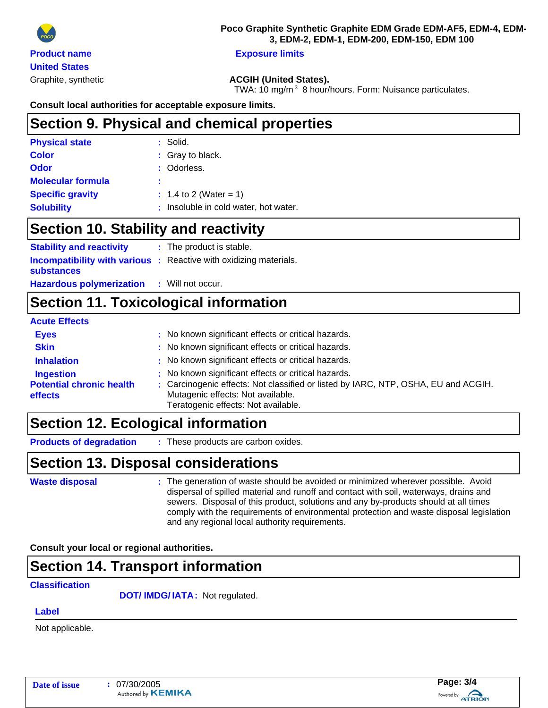

Graphite, synthetic **ACGIH (United States).**

TWA: 10 mg/m<sup>3</sup> 8 hour/hours. Form: Nuisance particulates.

#### **Consult local authorities for acceptable exposure limits.**

### **Section 9. Physical and chemical properties**

| <b>Physical state</b>    | : Solid.                              |
|--------------------------|---------------------------------------|
| <b>Color</b>             | : Gray to black.                      |
| Odor                     | : Odorless.                           |
| <b>Molecular formula</b> | ÷                                     |
| <b>Specific gravity</b>  | $: 1.4$ to 2 (Water = 1)              |
| <b>Solubility</b>        | : Insoluble in cold water, hot water. |

#### **Section 10. Stability and reactivity**

| <b>Stability and reactivity</b> | : The product is stable.                                                 |
|---------------------------------|--------------------------------------------------------------------------|
|                                 | <b>Incompatibility with various :</b> Reactive with oxidizing materials. |
| <b>substances</b>               |                                                                          |
| <b>Hazardous polymerization</b> | : Will not occur.                                                        |

# **Section 11. Toxicological information**

#### **Eyes Exercise :** No known significant effects or critical hazards. **Skin Skin Skin Skin Skin Skin Skin Skin Skin Skin Skin Skin Skin Skin Skin Skin Skin Skin Skin Skin Skin Skin Skin Skin Skin Skin Skin Skin Skin Skin Skin Skin Inhalation : No known significant effects or critical hazards. Ingestion :** No known significant effects or critical hazards. **Acute Effects Potential chronic health effects :** Carcinogenic effects: Not classified or listed by IARC, NTP, OSHA, EU and ACGIH. Mutagenic effects: Not available. Teratogenic effects: Not available.

### **Section 12. Ecological information**

: These products are carbon oxides. **Products of degradation :**

### **Section 13. Disposal considerations**

```
Waste disposal
```
The generation of waste should be avoided or minimized wherever possible. Avoid **:** dispersal of spilled material and runoff and contact with soil, waterways, drains and sewers. Disposal of this product, solutions and any by-products should at all times comply with the requirements of environmental protection and waste disposal legislation and any regional local authority requirements.

**Consult your local or regional authorities.**

### **Section 14. Transport information**

#### **Classification**

**DOT/ IMDG/IATA: Not regulated.** 

#### **Label**

Not applicable.